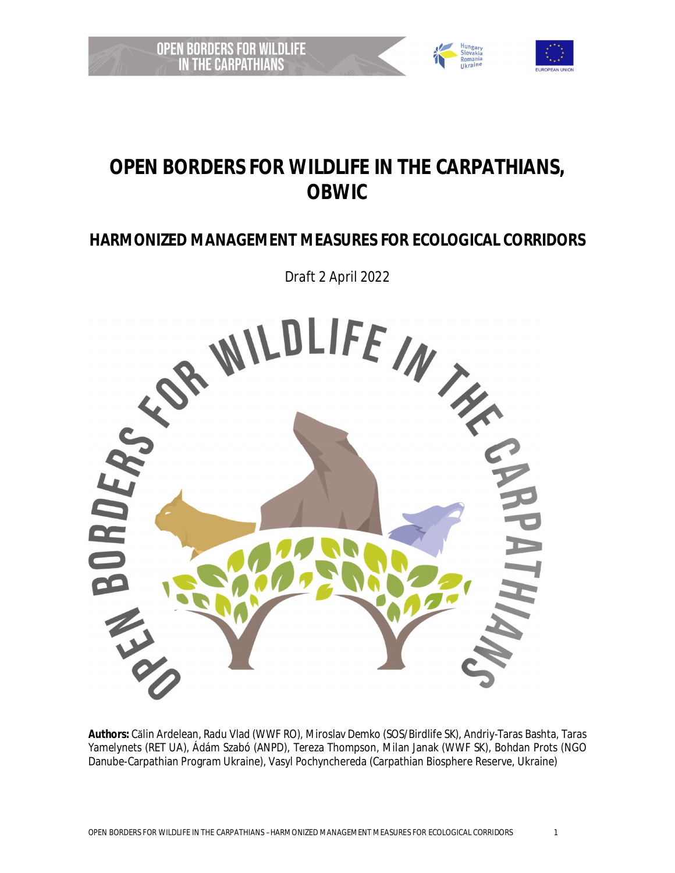



# **HARMONIZED MANAGEMENT MEASURES FOR ECOLOGICAL CORRIDORS**



**Authors:** Călin Ardelean, Radu Vlad (WWF RO), Miroslav Demko (SOS/Birdlife SK), Andriy-Taras Bashta, Taras Yamelynets (RET UA), Ádám Szabó (ANPD), Tereza Thompson, Milan Janak (WWF SK), Bohdan Prots (NGO Danube-Carpathian Program Ukraine), Vasyl Pochynchereda (Carpathian Biosphere Reserve, Ukraine)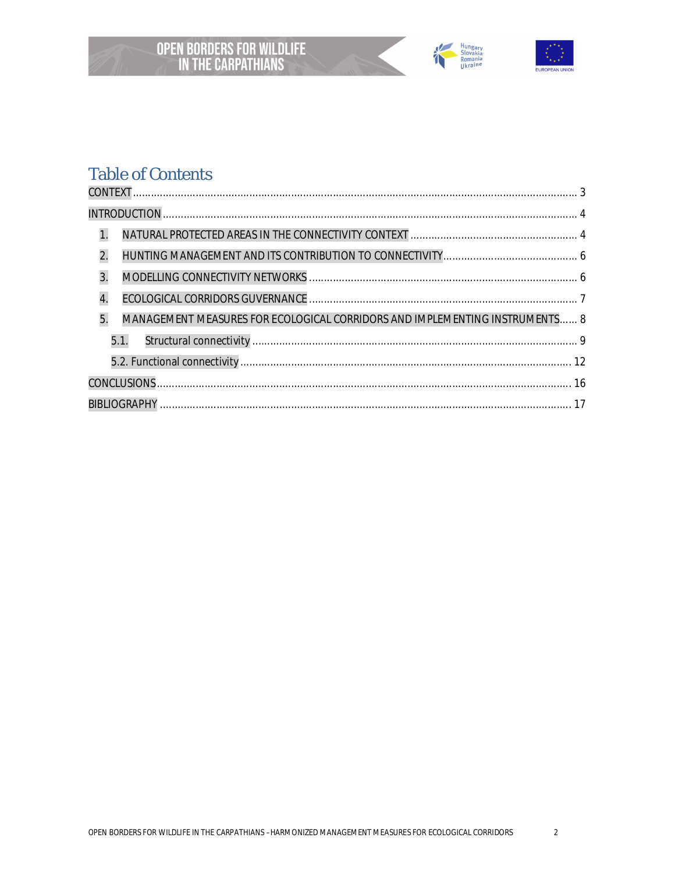



# **Table of Contents**

| 1.                                                                                |  |
|-----------------------------------------------------------------------------------|--|
| 2.                                                                                |  |
| 3.                                                                                |  |
| 4.                                                                                |  |
| 5.<br>MANAGEMENT MEASURES FOR ECOLOGICAL CORRIDORS AND IMPLEMENTING INSTRUMENTS 8 |  |
| 5.1.                                                                              |  |
|                                                                                   |  |
|                                                                                   |  |
|                                                                                   |  |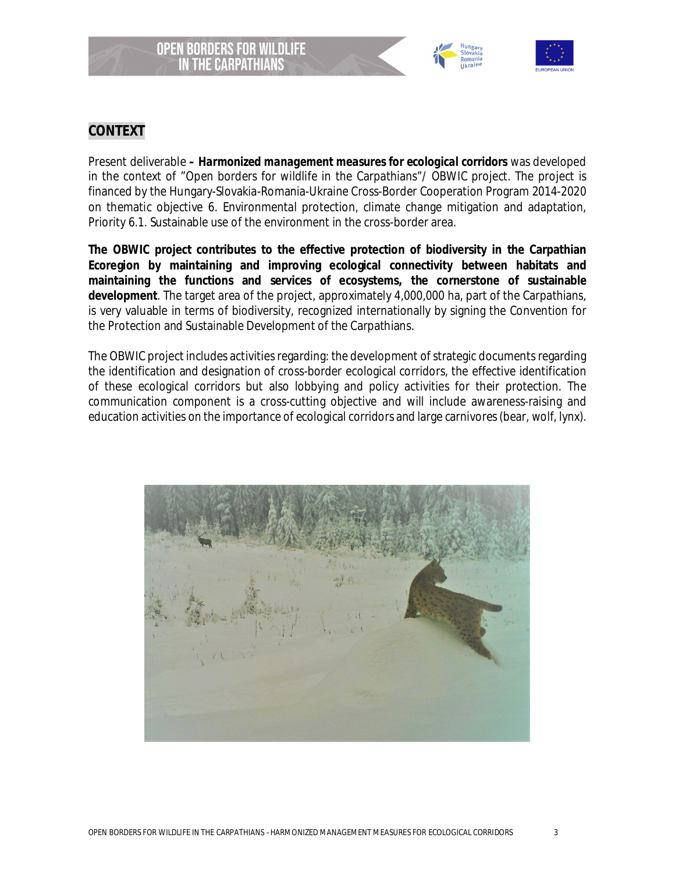



## **CONTEXT**

Present deliverable *– Harmonized management measures for ecological corridors* was developed in the context of "Open borders for wildlife in the Carpathians"/ OBWIC project. The project is financed by the Hungary-Slovakia-Romania-Ukraine Cross-Border Cooperation Program 2014-2020 on thematic objective 6. Environmental protection, climate change mitigation and adaptation, Priority 6.1. Sustainable use of the environment in the cross-border area.

**The OBWIC project contributes to the effective protection of biodiversity in the Carpathian Ecoregion by maintaining and improving ecological connectivity between habitats and maintaining the functions and services of ecosystems, the cornerstone of sustainable development**. The target area of the project, approximately 4,000,000 ha, part of the Carpathians, is very valuable in terms of biodiversity, recognized internationally by signing the Convention for the Protection and Sustainable Development of the Carpathians.

The OBWIC project includes activities regarding: the development of strategic documents regarding the identification and designation of cross-border ecological corridors, the effective identification of these ecological corridors but also lobbying and policy activities for their protection. The communication component is a cross-cutting objective and will include awareness-raising and education activities on the importance of ecological corridors and large carnivores (bear, wolf, lynx).

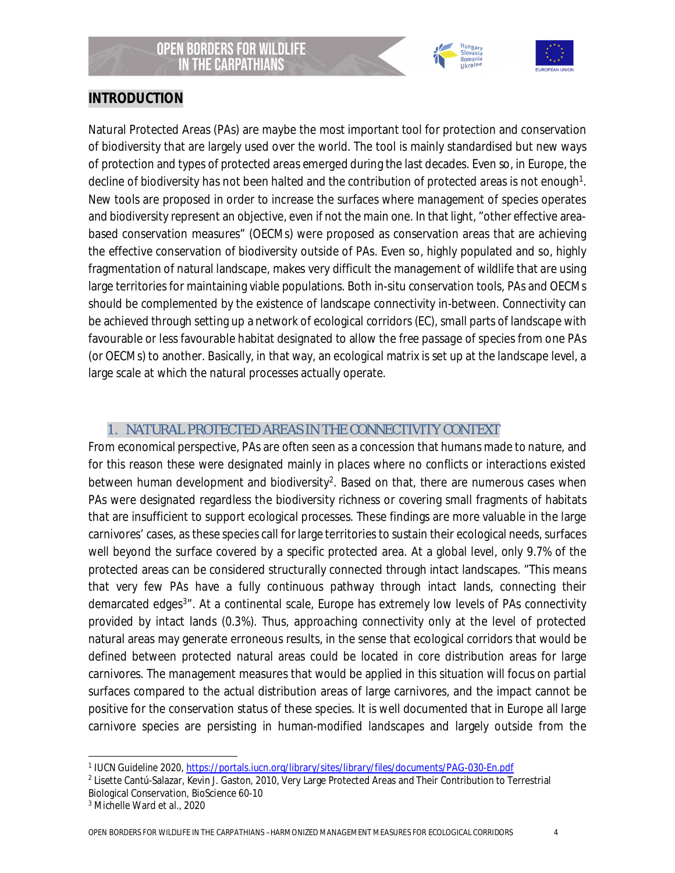



### **INTRODUCTION**

Natural Protected Areas (PAs) are maybe the most important tool for protection and conservation of biodiversity that are largely used over the world. The tool is mainly standardised but new ways of protection and types of protected areas emerged during the last decades. Even so, in Europe, the decline of biodiversity has not been halted and the contribution of protected areas is not enough<sup>1</sup>. New tools are proposed in order to increase the surfaces where management of species operates and biodiversity represent an objective, even if not the main one. In that light, "other effective areabased conservation measures" (OECMs) were proposed as conservation areas that are achieving the effective conservation of biodiversity outside of PAs. Even so, highly populated and so, highly fragmentation of natural landscape, makes very difficult the management of wildlife that are using large territories for maintaining viable populations. Both in-situ conservation tools, PAs and OECMs should be complemented by the existence of landscape connectivity in-between. Connectivity can be achieved through setting up a network of ecological corridors (EC), small parts of landscape with favourable or less favourable habitat designated to allow the free passage of species from one PAs (or OECMs) to another. Basically, in that way, an ecological matrix is set up at the landscape level, a large scale at which the natural processes actually operate.

# 1. NATURAL PROTECTED AREAS IN THE CONNECTIVITY CONTEXT

From economical perspective, PAs are often seen as a concession that humans made to nature, and for this reason these were designated mainly in places where no conflicts or interactions existed between human development and biodiversity<sup>2</sup>. Based on that, there are numerous cases when PAs were designated regardless the biodiversity richness or covering small fragments of habitats that are insufficient to support ecological processes. These findings are more valuable in the large carnivores' cases, as these species call for large territories to sustain their ecological needs, surfaces well beyond the surface covered by a specific protected area. At a global level, only 9.7% of the protected areas can be considered structurally connected through intact landscapes. "This means that very few PAs have a fully continuous pathway through intact lands, connecting their demarcated edges<sup>3</sup>". At a continental scale, Europe has extremely low levels of PAs connectivity provided by intact lands (0.3%). Thus, approaching connectivity only at the level of protected natural areas may generate erroneous results, in the sense that ecological corridors that would be defined between protected natural areas could be located in core distribution areas for large carnivores. The management measures that would be applied in this situation will focus on partial surfaces compared to the actual distribution areas of large carnivores, and the impact cannot be positive for the conservation status of these species. It is well documented that in Europe all large carnivore species are persisting in human-modified landscapes and largely outside from the

<sup>1</sup> IUCN Guideline 2020, https://portals.iucn.org/library/sites/library/files/documents/PAG-030-En.pdf

<sup>2</sup> Lisette Cantú-Salazar, Kevin J. Gaston, 2010, Very Large Protected Areas and Their Contribution to Terrestrial Biological Conservation, BioScience 60-10

<sup>3</sup> Michelle Ward et al., 2020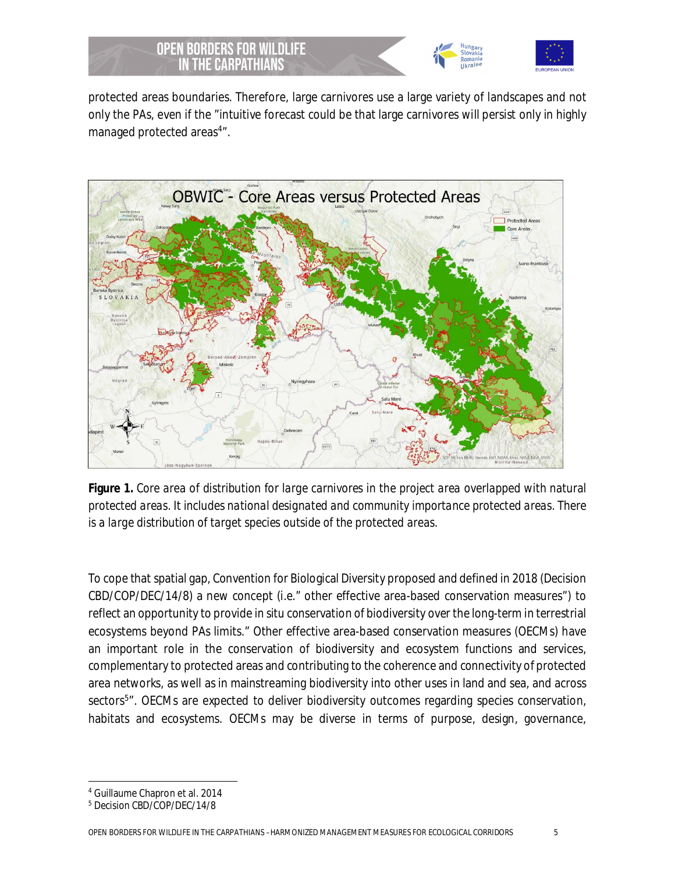



protected areas boundaries. Therefore, large carnivores use a large variety of landscapes and not only the PAs, even if the "intuitive forecast could be that large carnivores will persist only in highly managed protected areas<sup>4</sup>".



**Figure 1.** *Core area of distribution for large carnivores in the project area overlapped with natural protected areas. It includes national designated and community importance protected areas. There is a large distribution of target species outside of the protected areas.*

To cope that spatial gap, Convention for Biological Diversity proposed and defined in 2018 (Decision CBD/COP/DEC/14/8) a new concept (*i.e.*" other effective area-based conservation measures") to reflect an opportunity to provide *in situ* conservation of biodiversity over the long-term in terrestrial ecosystems beyond PAs limits." Other effective area-based conservation measures (OECMs) have an important role in the conservation of biodiversity and ecosystem functions and services, complementary to protected areas and contributing to the coherence and connectivity of protected area networks, as well as in mainstreaming biodiversity into other uses in land and sea, and across sectors<sup>5</sup>". OECMs are expected to deliver biodiversity outcomes regarding species conservation, habitats and ecosystems. OECMs may be diverse in terms of purpose, design, governance,

<sup>4</sup> Guillaume Chapron et al. 2014

<sup>5</sup> Decision CBD/COP/DEC/14/8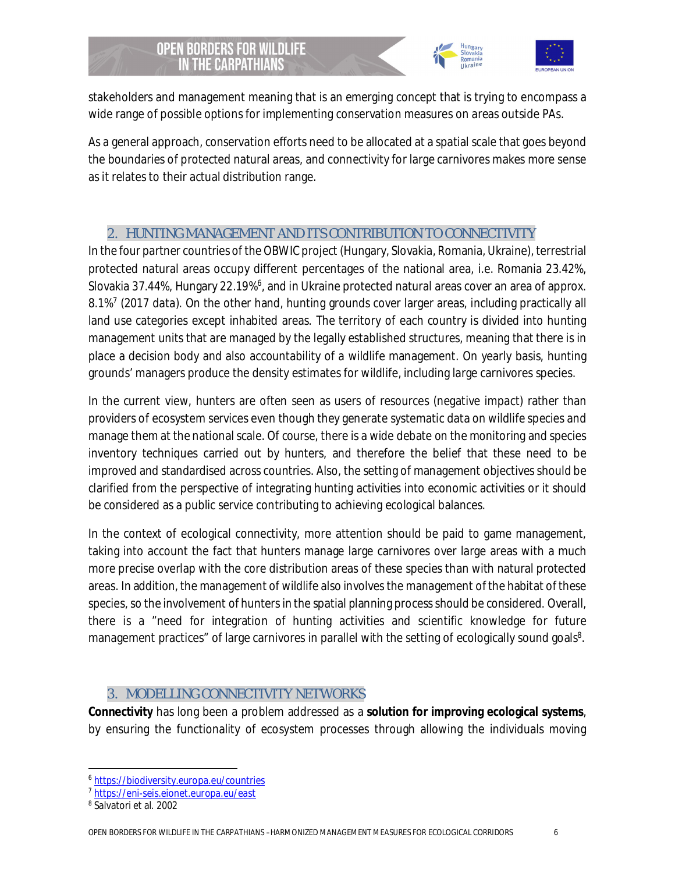



stakeholders and management meaning that is an emerging concept that is trying to encompass a wide range of possible options for implementing conservation measures on areas outside PAs.

As a general approach, conservation efforts need to be allocated at a spatial scale that goes beyond the boundaries of protected natural areas, and connectivity for large carnivores makes more sense as it relates to their actual distribution range.

# 2. HUNTING MANAGEMENT AND ITS CONTRIBUTION TO CONNECTIVITY

In the four partner countries of the OBWIC project (Hungary, Slovakia, Romania, Ukraine), terrestrial protected natural areas occupy different percentages of the national area, i.e. Romania 23.42%, Slovakia 37.44%, Hungary 22.19%<sup>6</sup>, and in Ukraine protected natural areas cover an area of approx. 8.1%<sup>7</sup> (2017 data). On the other hand, hunting grounds cover larger areas, including practically all land use categories except inhabited areas. The territory of each country is divided into hunting management units that are managed by the legally established structures, meaning that there is in place a decision body and also accountability of a wildlife management. On yearly basis, hunting grounds' managers produce the density estimates for wildlife, including large carnivores species.

In the current view, hunters are often seen as users of resources (negative impact) rather than providers of ecosystem services even though they generate systematic data on wildlife species and manage them at the national scale. Of course, there is a wide debate on the monitoring and species inventory techniques carried out by hunters, and therefore the belief that these need to be improved and standardised across countries. Also, the setting of management objectives should be clarified from the perspective of integrating hunting activities into economic activities or it should be considered as a public service contributing to achieving ecological balances.

In the context of ecological connectivity, more attention should be paid to game management, taking into account the fact that hunters manage large carnivores over large areas with a much more precise overlap with the core distribution areas of these species than with natural protected areas. In addition, the management of wildlife also involves the management of the habitat of these species, so the involvement of hunters in the spatial planning process should be considered. Overall, there is a "need for integration of hunting activities and scientific knowledge for future management practices" of large carnivores in parallel with the setting of ecologically sound goals<sup>8</sup>.

# 3. MODELLING CONNECTIVITY NETWORKS

**Connectivity** has long been a problem addressed as a **solution for improving ecological systems**, by ensuring the functionality of ecosystem processes through allowing the individuals moving

<sup>6</sup> https://biodiversity.europa.eu/countries

<sup>7</sup> https://eni-seis.eionet.europa.eu/east

<sup>8</sup> Salvatori et al. 2002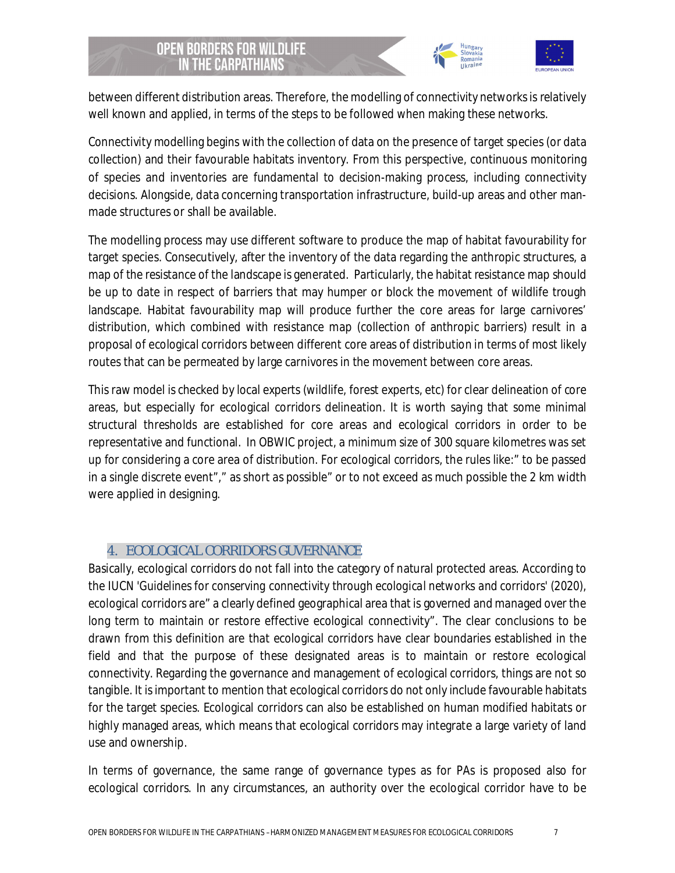



between different distribution areas. Therefore, the modelling of connectivity networks is relatively well known and applied, in terms of the steps to be followed when making these networks.

Connectivity modelling begins with the collection of data on the presence of target species (or data collection) and their favourable habitats inventory. From this perspective, continuous monitoring of species and inventories are fundamental to decision-making process, including connectivity decisions. Alongside, data concerning transportation infrastructure, build-up areas and other manmade structures or shall be available.

The modelling process may use different software to produce the map of habitat favourability for target species. Consecutively, after the inventory of the data regarding the anthropic structures, a map of the resistance of the landscape is generated. Particularly, the habitat resistance map should be up to date in respect of barriers that may humper or block the movement of wildlife trough landscape. Habitat favourability map will produce further the core areas for large carnivores' distribution, which combined with resistance map (collection of anthropic barriers) result in a proposal of ecological corridors between different core areas of distribution in terms of most likely routes that can be permeated by large carnivores in the movement between core areas.

This raw model is checked by local experts (wildlife, forest experts, etc) for clear delineation of core areas, but especially for ecological corridors delineation. It is worth saying that some minimal structural thresholds are established for core areas and ecological corridors in order to be representative and functional. In OBWIC project, a minimum size of 300 square kilometres was set up for considering a core area of distribution. For ecological corridors, the rules like:" to be passed in a single discrete event"," as short as possible" or to not exceed as much possible the 2 km width were applied in designing.

#### 4. ECOLOGICAL CORRIDORS GUVERNANCE

Basically, ecological corridors do not fall into the category of natural protected areas. According to the IUCN *'Guidelines for conserving connectivity through ecological networks and corridors*' (2020), ecological corridors are" a clearly defined geographical area that is governed and managed over the long term to maintain or restore effective ecological connectivity". The clear conclusions to be drawn from this definition are that ecological corridors have clear boundaries established in the field and that the purpose of these designated areas is to maintain or restore ecological connectivity. Regarding the governance and management of ecological corridors, things are not so tangible. It is important to mention that ecological corridors do not only include favourable habitats for the target species. Ecological corridors can also be established on human modified habitats or highly managed areas, which means that ecological corridors may integrate a large variety of land use and ownership.

In terms of governance, the same range of governance types as for PAs is proposed also for ecological corridors. In any circumstances, an authority over the ecological corridor have to be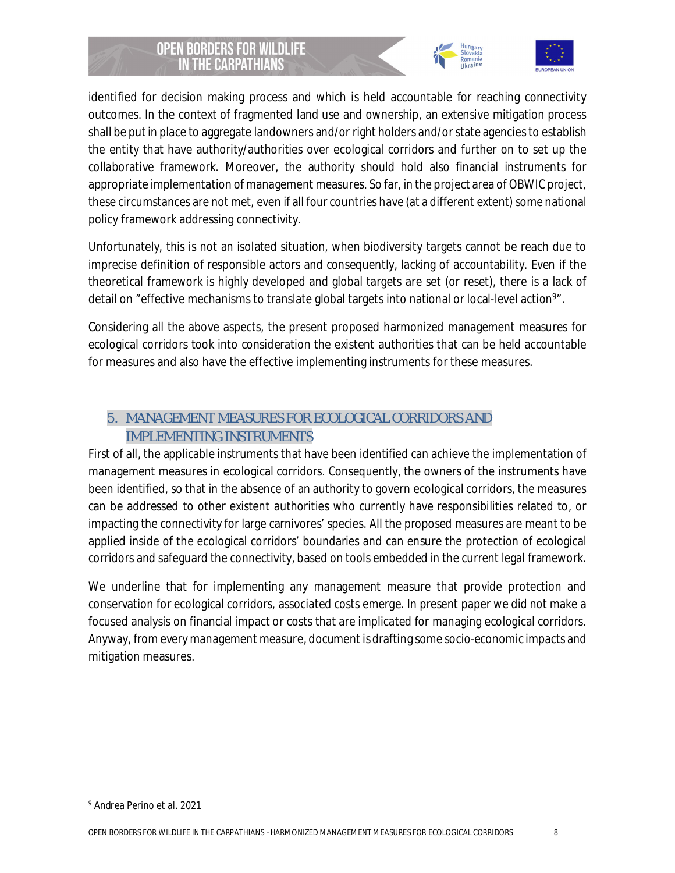



identified for decision making process and which is held accountable for reaching connectivity outcomes. In the context of fragmented land use and ownership, an extensive mitigation process shall be put in place to aggregate landowners and/or right holders and/or state agencies to establish the entity that have authority/authorities over ecological corridors and further on to set up the collaborative framework. Moreover, the authority should hold also financial instruments for appropriate implementation of management measures. So far, in the project area of OBWIC project, these circumstances are not met, even if all four countries have (at a different extent) some national policy framework addressing connectivity.

Unfortunately, this is not an isolated situation, when biodiversity targets cannot be reach due to imprecise definition of responsible actors and consequently, lacking of accountability. Even if the theoretical framework is highly developed and global targets are set (or reset), there is a lack of detail on "effective mechanisms to translate global targets into national or local-level action<sup>9</sup>".

Considering all the above aspects, the present proposed harmonized management measures for ecological corridors took into consideration the existent authorities that can be held accountable for measures and also have the effective implementing instruments for these measures.

# 5. MANAGEMENT MEASURES FOR ECOLOGICAL CORRIDORS AND IMPLEMENTING INSTRUMENTS

First of all, the applicable instruments that have been identified can achieve the implementation of management measures in ecological corridors. Consequently, the owners of the instruments have been identified, so that in the absence of an authority to govern ecological corridors, the measures can be addressed to other existent authorities who currently have responsibilities related to, or impacting the connectivity for large carnivores' species. All the proposed measures are meant to be applied inside of the ecological corridors' boundaries and can ensure the protection of ecological corridors and safeguard the connectivity, based on tools embedded in the current legal framework.

We underline that for implementing any management measure that provide protection and conservation for ecological corridors, associated costs emerge. In present paper we did not make a focused analysis on financial impact or costs that are implicated for managing ecological corridors. Anyway, from every management measure, document is drafting some socio-economic impacts and mitigation measures.

<sup>9</sup> Andrea Perino *et al.* 2021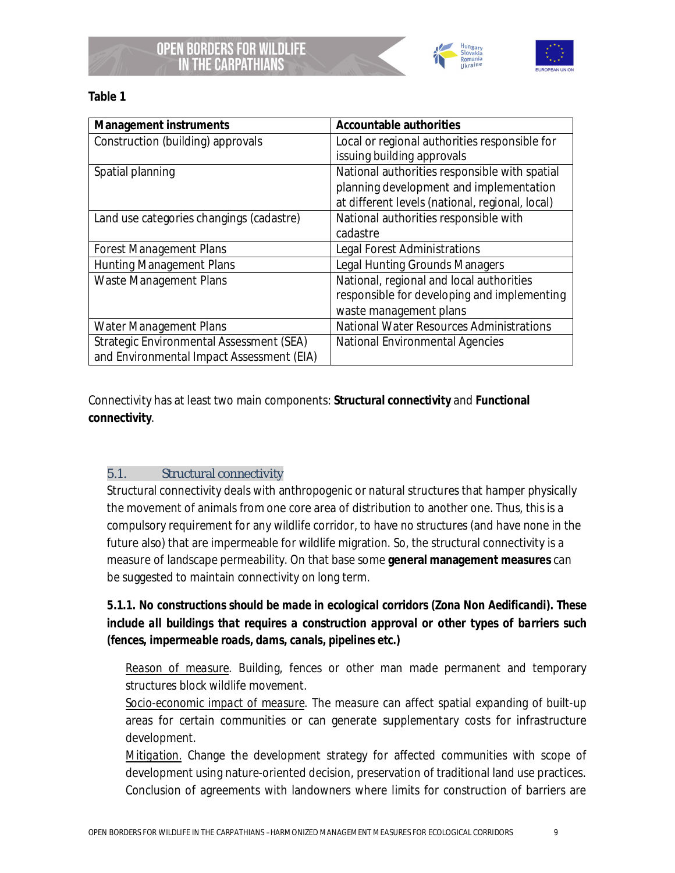



**Table 1**

| Management instruments                    | Accountable authorities                         |
|-------------------------------------------|-------------------------------------------------|
| Construction (building) approvals         | Local or regional authorities responsible for   |
|                                           | issuing building approvals                      |
| Spatial planning                          | National authorities responsible with spatial   |
|                                           | planning development and implementation         |
|                                           | at different levels (national, regional, local) |
| Land use categories changings (cadastre)  | National authorities responsible with           |
|                                           | cadastre                                        |
| <b>Forest Management Plans</b>            | Legal Forest Administrations                    |
| <b>Hunting Management Plans</b>           | Legal Hunting Grounds Managers                  |
| Waste Management Plans                    | National, regional and local authorities        |
|                                           | responsible for developing and implementing     |
|                                           | waste management plans                          |
| <b>Water Management Plans</b>             | <b>National Water Resources Administrations</b> |
| Strategic Environmental Assessment (SEA)  | <b>National Environmental Agencies</b>          |
| and Environmental Impact Assessment (EIA) |                                                 |

Connectivity has at least two main components: **Structural connectivity** and **Functional connectivity**.

#### 5.1. Structural connectivity

Structural connectivity deals with anthropogenic or natural structures that hamper physically the movement of animals from one core area of distribution to another one. Thus, this is a compulsory requirement for any wildlife corridor, to have no structures (and have none in the future also) that are impermeable for wildlife migration. So, the structural connectivity is a measure of landscape permeability. On that base some **general management measures** can be suggested to maintain connectivity on long term.

*5.1.1. No constructions should be made in ecological corridors (Zona Non Aedificandi). These include all buildings that requires a construction approval or other types of barriers such (fences, impermeable roads, dams, canals, pipelines etc.)*

*Reason of measure.* Building, fences or other man made permanent and temporary structures block wildlife movement.

*Socio-economic impact of measure*. The measure can affect spatial expanding of built-up areas for certain communities or can generate supplementary costs for infrastructure development.

*Mitigation.* Change the development strategy for affected communities with scope of development using nature-oriented decision, preservation of traditional land use practices. Conclusion of agreements with landowners where limits for construction of barriers are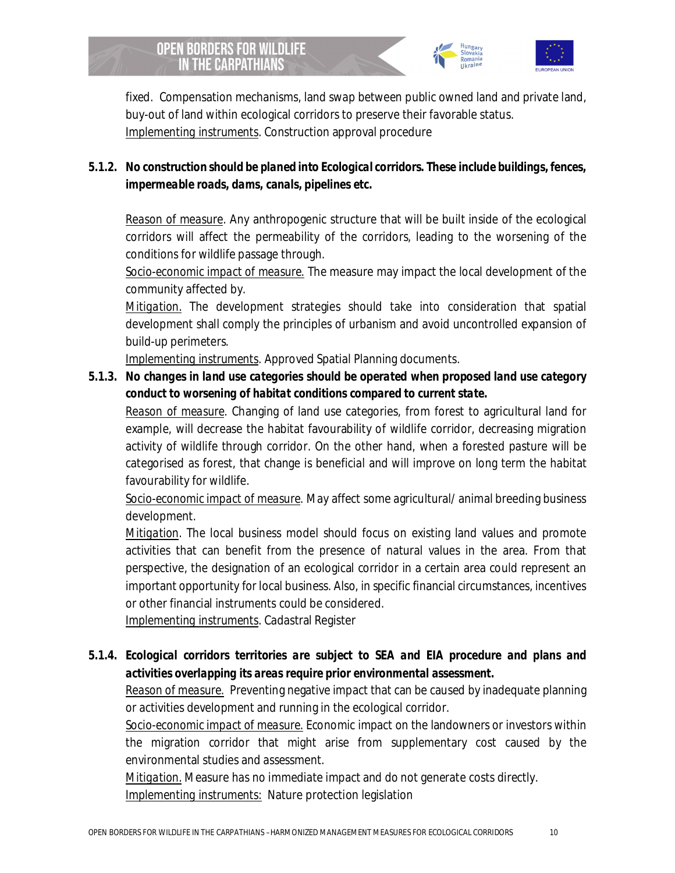

fixed. Compensation mechanisms, land swap between public owned land and private land, buy-out of land within ecological corridors to preserve their favorable status. *Implementing instruments*. Construction approval procedure

*5.1.2. No construction should be planed into Ecological corridors. These include buildings, fences, impermeable roads, dams, canals, pipelines etc.*

*Reason of measure.* Any anthropogenic structure that will be built inside of the ecological corridors will affect the permeability of the corridors, leading to the worsening of the conditions for wildlife passage through.

*Socio-economic impact of measure.* The measure may impact the local development of the community affected by.

*Mitigation.* The development strategies should take into consideration that spatial development shall comply the principles of urbanism and avoid uncontrolled expansion of build-up perimeters.

*Implementing instruments.* Approved Spatial Planning documents.

*5.1.3. No changes in land use categories should be operated when proposed land use category conduct to worsening of habitat conditions compared to current state.*

*Reason of measure.* Changing of land use categories, from forest to agricultural land for example, will decrease the habitat favourability of wildlife corridor, decreasing migration activity of wildlife through corridor. On the other hand, when a forested pasture will be categorised as forest, that change is beneficial and will improve on long term the habitat favourability for wildlife.

*Socio-economic impact of measure*. May affect some agricultural/ animal breeding business development.

*Mitigation*. The local business model should focus on existing land values and promote activities that can benefit from the presence of natural values in the area. From that perspective, the designation of an ecological corridor in a certain area could represent an important opportunity for local business. Also, in specific financial circumstances, incentives or other financial instruments could be considered.

*Implementing instruments*. Cadastral Register

*5.1.4. Ecological corridors territories are subject to SEA and EIA procedure and plans and activities overlapping its areas require prior environmental assessment.*

*Reason of measure.* Preventing negative impact that can be caused by inadequate planning or activities development and running in the ecological corridor.

*Socio-economic impact of measure.* Economic impact on the landowners or investors within the migration corridor that might arise from supplementary cost caused by the environmental studies and assessment.

*Mitigation.* Measure has no immediate impact and do not generate costs directly. *Implementing instruments:* Nature protection legislation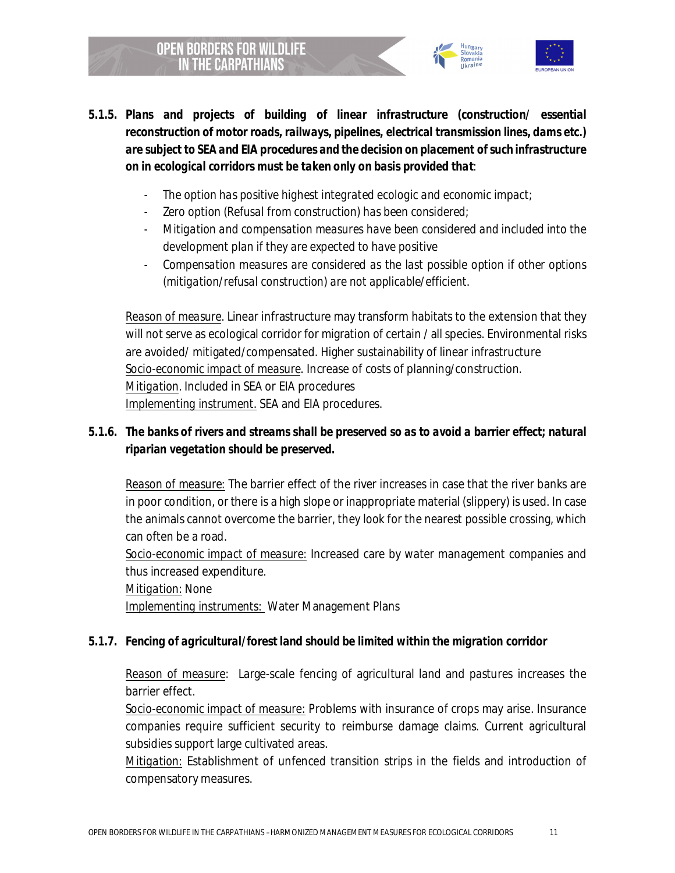



- *The option has positive highest integrated ecologic and economic impact;*
- Zero option (Refusal from construction) has been considered;

- *Mitigation and compensation measures have been considered and included into the development plan if they are expected to have positive*
- *Compensation measures are considered as the last possible option if other options (mitigation/refusal construction) are not applicable/efficient.*

*Reason of measure*. Linear infrastructure may transform habitats to the extension that they will not serve as ecological corridor for migration of certain / all species. Environmental risks are avoided/ mitigated/compensated. Higher sustainability of linear infrastructure *Socio-economic impact of measure*. Increase of costs of planning/construction. *Mitigation*. Included in SEA or EIA procedures *Implementing instrument.* SEA and EIA procedures.

*5.1.6. The banks of rivers and streams shall be preserved so as to avoid a barrier effect; natural riparian vegetation should be preserved.*

*Reason of measure:* The barrier effect of the river increases in case that the river banks are in poor condition, or there is a high slope or inappropriate material (slippery) is used. In case the animals cannot overcome the barrier, they look for the nearest possible crossing, which can often be a road.

*Socio-economic impact of measure:* Increased care by water management companies and thus increased expenditure.

*Mitigation:* None

*Implementing instruments:* Water Management Plans

*5.1.7. Fencing of agricultural/forest land should be limited within the migration corridor*

*Reason of measure*: Large-scale fencing of agricultural land and pastures increases the barrier effect.

*Socio-economic impact of measure:* Problems with insurance of crops may arise. Insurance companies require sufficient security to reimburse damage claims. Current agricultural subsidies support large cultivated areas.

*Mitigation:* Establishment of unfenced transition strips in the fields and introduction of compensatory measures.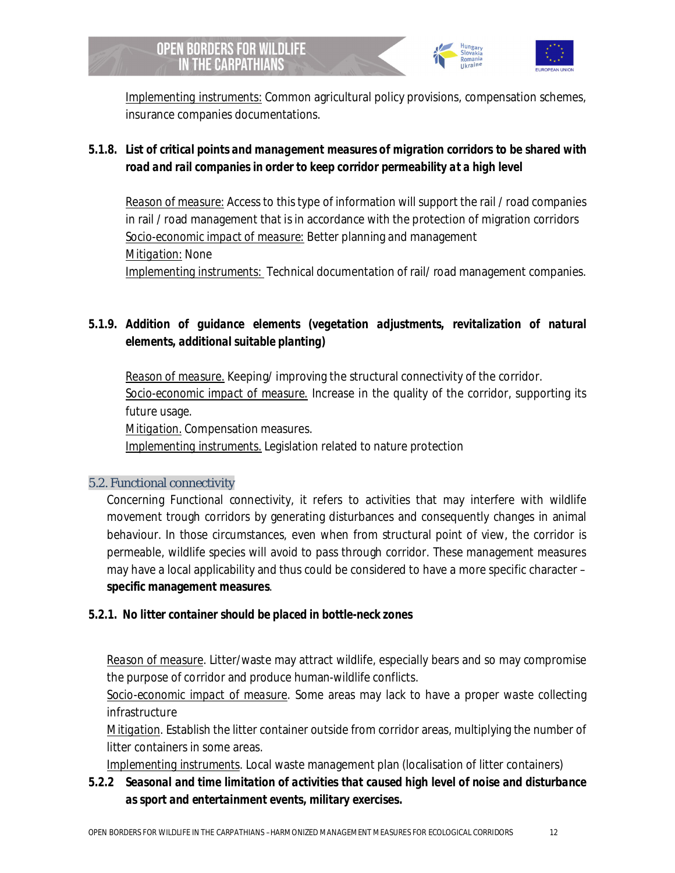

*Implementing instruments:* Common agricultural policy provisions, compensation schemes, insurance companies documentations.

*5.1.8. List of critical points and management measures of migration corridors to be shared with road and rail companies in order to keep corridor permeability at a high level*

*Reason of measure:* Access to this type of information will support the rail / road companies in rail / road management that is in accordance with the protection of migration corridors *Socio-economic impact of measure:* Better planning and management *Mitigation:* None *Implementing instruments:* Technical documentation of rail/ road management companies.

*5.1.9. Addition of guidance elements (vegetation adjustments, revitalization of natural elements, additional suitable planting)*

*Reason of measure.* Keeping/ improving the structural connectivity of the corridor. *Socio-economic impact of measure.* Increase in the quality of the corridor, supporting its future usage.

*Mitigation.* Compensation measures.

*Implementing instruments.* Legislation related to nature protection

#### 5.2. Functional connectivity

Concerning Functional connectivity, it refers to activities that may interfere with wildlife movement trough corridors by generating disturbances and consequently changes in animal behaviour. In those circumstances, even when from structural point of view, the corridor is permeable, wildlife species will avoid to pass through corridor. These management measures may have a local applicability and thus could be considered to have a more specific character – **specific management measures**.

*5.2.1. No litter container should be placed in bottle-neck zones*

*Reason of measure.* Litter/waste may attract wildlife, especially bears and so may compromise the purpose of corridor and produce human-wildlife conflicts.

*Socio-economic impact of measure*. Some areas may lack to have a proper waste collecting infrastructure

*Mitigation*. Establish the litter container outside from corridor areas, multiplying the number of litter containers in some areas.

*Implementing instruments*. Local waste management plan (localisation of litter containers)

*5.2.2 Seasonal and time limitation of activities that caused high level of noise and disturbance as sport and entertainment events, military exercises.*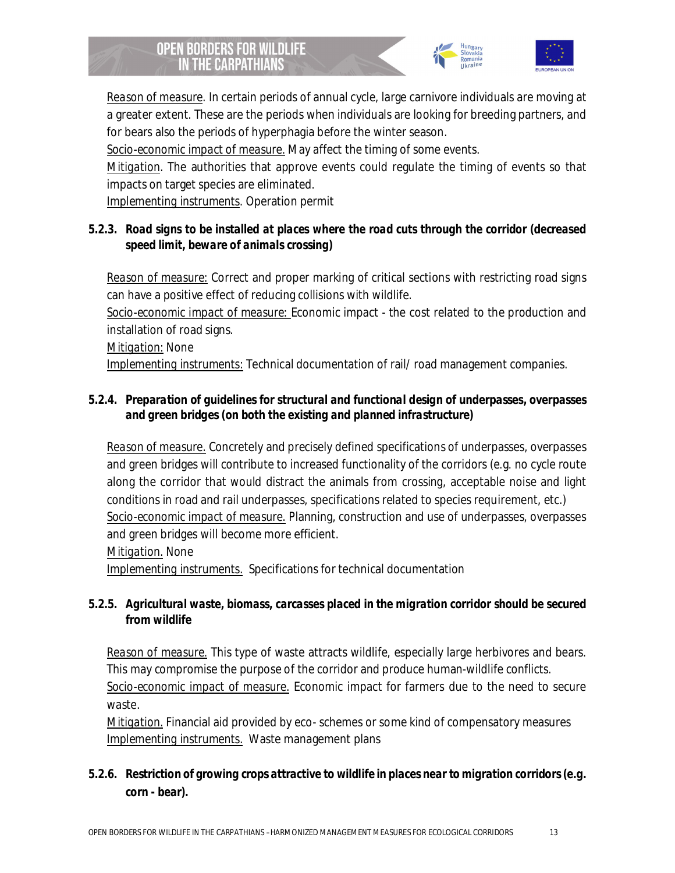



*Reason of measure*. In certain periods of annual cycle, large carnivore individuals are moving at a greater extent. These are the periods when individuals are looking for breeding partners, and for bears also the periods of hyperphagia before the winter season.

*Socio-economic impact of measure.* May affect the timing of some events.

*Mitigation*. The authorities that approve events could regulate the timing of events so that impacts on target species are eliminated.

*Implementing instruments*. Operation permit

*5.2.3. Road signs to be installed at places where the road cuts through the corridor (decreased speed limit, beware of animals crossing)*

*Reason of measure:* Correct and proper marking of critical sections with restricting road signs can have a positive effect of reducing collisions with wildlife. *Socio-economic impact of measure:* Economic impact - the cost related to the production and installation of road signs. *Mitigation:* None *Implementing instruments:* Technical documentation of rail/ road management companies.

*5.2.4. Preparation of guidelines for structural and functional design of underpasses, overpasses and green bridges (on both the existing and planned infrastructure)*

*Reason of measure.* Concretely and precisely defined specifications of underpasses, overpasses and green bridges will contribute to increased functionality of the corridors (e.g. no cycle route along the corridor that would distract the animals from crossing, acceptable noise and light conditions in road and rail underpasses, specifications related to species requirement, etc.) *Socio-economic impact of measure.* Planning, construction and use of underpasses, overpasses and green bridges will become more efficient.

*Mitigation.* None

*Implementing instruments.* Specifications for technical documentation

*5.2.5. Agricultural waste, biomass, carcasses placed in the migration corridor should be secured from wildlife*

*Reason of measure.* This type of waste attracts wildlife, especially large herbivores and bears. This may compromise the purpose of the corridor and produce human-wildlife conflicts. *Socio-economic impact of measure.* Economic impact for farmers due to the need to secure waste.

*Mitigation.* Financial aid provided by eco- schemes or some kind of compensatory measures *Implementing instruments.* Waste management plans

*5.2.6. Restriction of growing crops attractive to wildlife in places near to migration corridors (e.g. corn - bear).*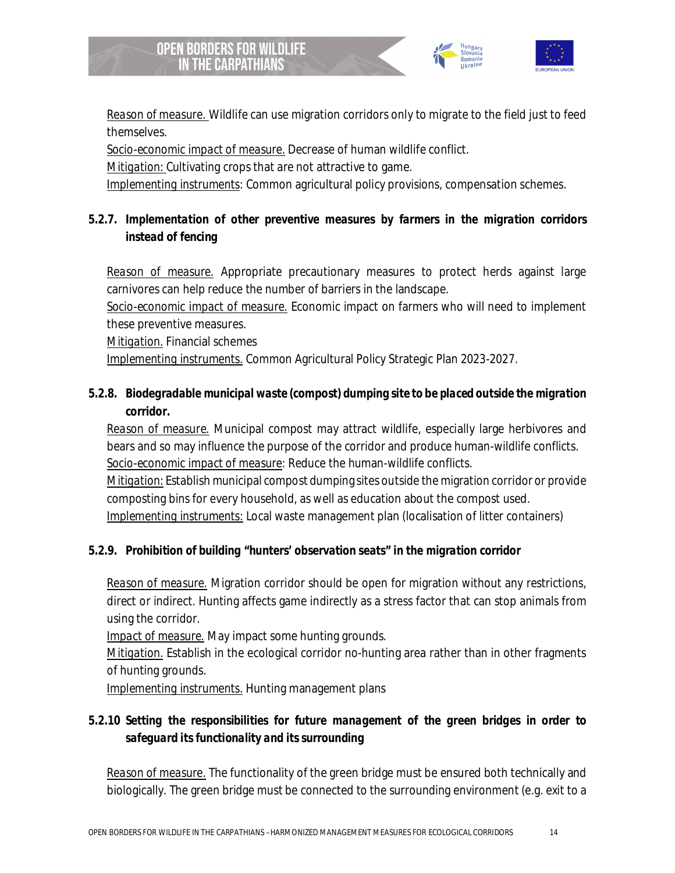



*Reason of measure.* Wildlife can use migration corridors only to migrate to the field just to feed themselves.

*Socio-economic impact of measure.* Decrease of human wildlife conflict.

*Mitigation:* Cultivating crops that are not attractive to game.

*Implementing instruments*: Common agricultural policy provisions, compensation schemes.

*5.2.7. Implementation of other preventive measures by farmers in the migration corridors instead of fencing*

*Reason of measure.* Appropriate precautionary measures to protect herds against large carnivores can help reduce the number of barriers in the landscape.

*Socio-economic impact of measure.* Economic impact on farmers who will need to implement these preventive measures.

*Mitigation.* Financial schemes

*Implementing instruments.* Common Agricultural Policy Strategic Plan 2023-2027.

*5.2.8. Biodegradable municipal waste (compost) dumping site to be placed outside the migration corridor.*

*Reason of measure.* Municipal compost may attract wildlife, especially large herbivores and bears and so may influence the purpose of the corridor and produce human-wildlife conflicts. *Socio-economic impact of measure*: Reduce the human-wildlife conflicts.

*Mitigation*: Establish municipal compost dumping sites outside the migration corridor or provide composting bins for every household, as well as education about the compost used. *Implementing instruments:* Local waste management plan (localisation of litter containers)

*5.2.9. Prohibition of building "hunters' observation seats" in the migration corridor*

*Reason of measure.* Migration corridor should be open for migration without any restrictions, direct or indirect. Hunting affects game indirectly as a stress factor that can stop animals from using the corridor.

*Impact of measure.* May impact some hunting grounds.

*Mitigation.* Establish in the ecological corridor no-hunting area rather than in other fragments of hunting grounds.

*Implementing instruments.* Hunting management plans

*5.2.10 Setting the responsibilities for future management of the green bridges in order to safeguard its functionality and its surrounding*

*Reason of measure.* The functionality of the green bridge must be ensured both technically and biologically. The green bridge must be connected to the surrounding environment (e.g. exit to a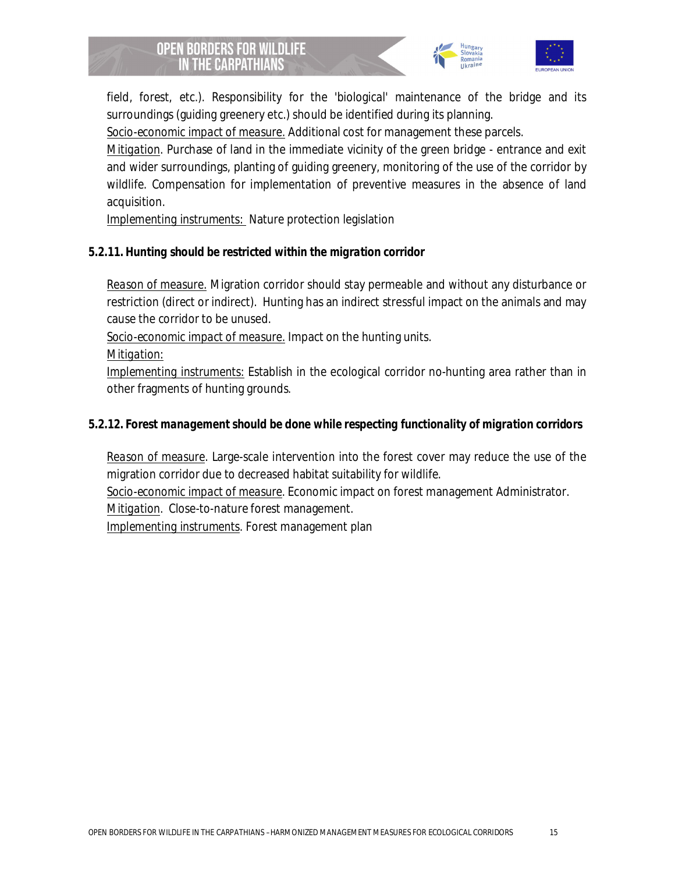



field, forest, etc.). Responsibility for the 'biological' maintenance of the bridge and its surroundings (guiding greenery etc.) should be identified during its planning.

*Socio-economic impact of measure.* Additional cost for management these parcels.

*Mitigation*. Purchase of land in the immediate vicinity of the green bridge - entrance and exit and wider surroundings, planting of guiding greenery, monitoring of the use of the corridor by wildlife. Compensation for implementation of preventive measures in the absence of land acquisition.

*Implementing instruments:* Nature protection legislation

*5.2.11. Hunting should be restricted within the migration corridor*

*Reason of measure.* Migration corridor should stay permeable and without any disturbance or restriction (direct or indirect). Hunting has an indirect stressful impact on the animals and may cause the corridor to be unused.

*Socio-economic impact of measure.* Impact on the hunting units.

*Mitigation:*

*Implementing instruments:* Establish in the ecological corridor no-hunting area rather than in other fragments of hunting grounds.

*5.2.12. Forest management should be done while respecting functionality of migration corridors*

*Reason of measure*. Large-scale intervention into the forest cover may reduce the use of the migration corridor due to decreased habitat suitability for wildlife.

*Socio-economic impact of measure*. Economic impact on forest management Administrator.

*Mitigation*. Close-to-nature forest management.

*Implementing instruments*. Forest management plan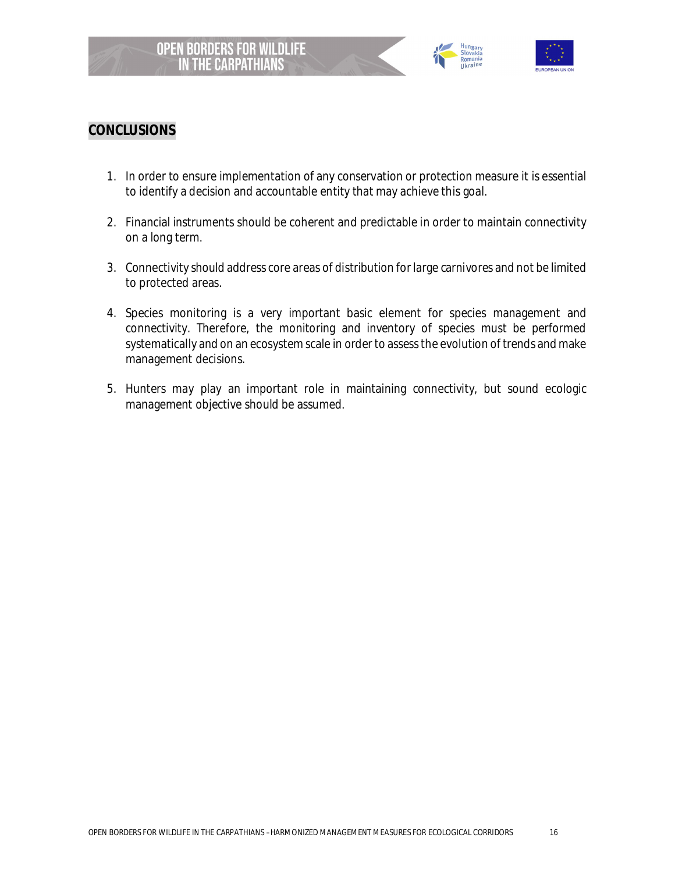



## **CONCLUSIONS**

- 1. In order to ensure implementation of any conservation or protection measure it is essential to identify a decision and accountable entity that may achieve this goal.
- 2. Financial instruments should be coherent and predictable in order to maintain connectivity on a long term.
- 3. Connectivity should address core areas of distribution for large carnivores and not be limited to protected areas.
- 4. Species monitoring is a very important basic element for species management and connectivity. Therefore, the monitoring and inventory of species must be performed systematically and on an ecosystem scale in order to assess the evolution of trends and make management decisions.
- 5. Hunters may play an important role in maintaining connectivity, but sound ecologic management objective should be assumed.